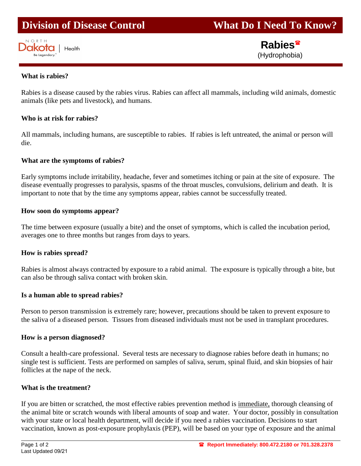# **Division of Disease Control What Do I Need To Know?**



 **Rabies** (Hydrophobia)

#### **What is rabies?**

Rabies is a disease caused by the rabies virus. Rabies can affect all mammals, including wild animals, domestic animals (like pets and livestock), and humans.

#### **Who is at risk for rabies?**

All mammals, including humans, are susceptible to rabies. If rabies is left untreated, the animal or person will die.

## **What are the symptoms of rabies?**

Early symptoms include irritability, headache, fever and sometimes itching or pain at the site of exposure. The disease eventually progresses to paralysis, spasms of the throat muscles, convulsions, delirium and death. It is important to note that by the time any symptoms appear, rabies cannot be successfully treated.

#### **How soon do symptoms appear?**

The time between exposure (usually a bite) and the onset of symptoms, which is called the incubation period, averages one to three months but ranges from days to years.

#### **How is rabies spread?**

Rabies is almost always contracted by exposure to a rabid animal. The exposure is typically through a bite, but can also be through saliva contact with broken skin.

#### **Is a human able to spread rabies?**

Person to person transmission is extremely rare; however, precautions should be taken to prevent exposure to the saliva of a diseased person. Tissues from diseased individuals must not be used in transplant procedures.

#### **How is a person diagnosed?**

Consult a health-care professional. Several tests are necessary to diagnose rabies before death in humans; no single test is sufficient. Tests are performed on samples of saliva, serum, spinal fluid, and skin biopsies of hair follicles at the nape of the neck.

#### **What is the treatment?**

If you are bitten or scratched, the most effective rabies prevention method is immediate, thorough cleansing of the animal bite or scratch wounds with liberal amounts of soap and water. Your doctor, possibly in consultation with your state or local health department, will decide if you need a rabies vaccination. Decisions to start vaccination, known as post-exposure prophylaxis (PEP), will be based on your type of exposure and the animal